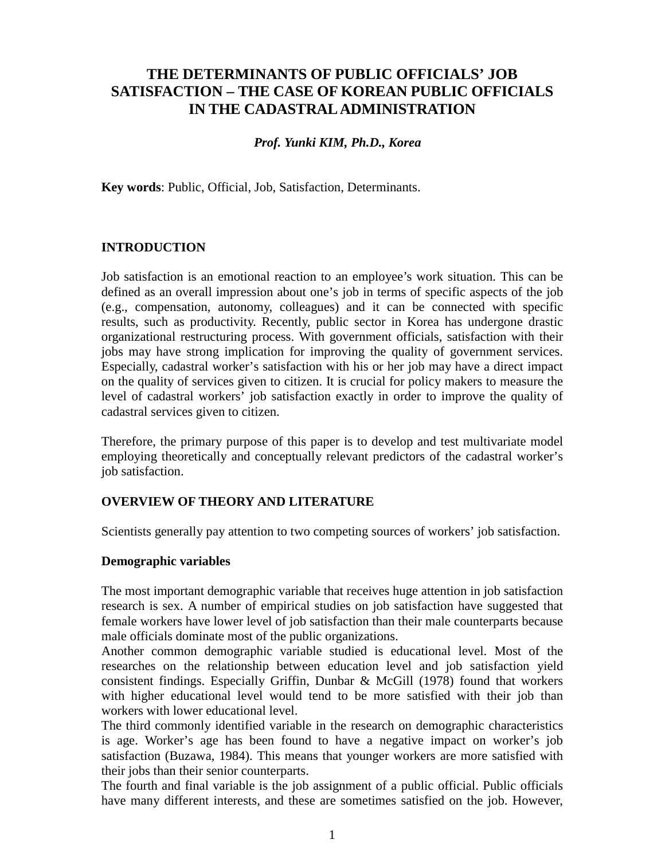# **THE DETERMINANTS OF PUBLIC OFFICIALS' JOB SATISFACTION – THE CASE OF KOREAN PUBLIC OFFICIALS IN THE CADASTRAL ADMINISTRATION**

## *Prof. Yunki KIM, Ph.D., Korea*

**Key words**: Public, Official, Job, Satisfaction, Determinants.

## **INTRODUCTION**

Job satisfaction is an emotional reaction to an employee's work situation. This can be defined as an overall impression about one's job in terms of specific aspects of the job (e.g., compensation, autonomy, colleagues) and it can be connected with specific results, such as productivity. Recently, public sector in Korea has undergone drastic organizational restructuring process. With government officials, satisfaction with their jobs may have strong implication for improving the quality of government services. Especially, cadastral worker's satisfaction with his or her job may have a direct impact on the quality of services given to citizen. It is crucial for policy makers to measure the level of cadastral workers' job satisfaction exactly in order to improve the quality of cadastral services given to citizen.

Therefore, the primary purpose of this paper is to develop and test multivariate model employing theoretically and conceptually relevant predictors of the cadastral worker's job satisfaction.

## **OVERVIEW OF THEORY AND LITERATURE**

Scientists generally pay attention to two competing sources of workers' job satisfaction.

#### **Demographic variables**

The most important demographic variable that receives huge attention in job satisfaction research is sex. A number of empirical studies on job satisfaction have suggested that female workers have lower level of job satisfaction than their male counterparts because male officials dominate most of the public organizations.

Another common demographic variable studied is educational level. Most of the researches on the relationship between education level and job satisfaction yield consistent findings. Especially Griffin, Dunbar & McGill (1978) found that workers with higher educational level would tend to be more satisfied with their job than workers with lower educational level.

The third commonly identified variable in the research on demographic characteristics is age. Worker's age has been found to have a negative impact on worker's job satisfaction (Buzawa, 1984). This means that younger workers are more satisfied with their jobs than their senior counterparts.

The fourth and final variable is the job assignment of a public official. Public officials have many different interests, and these are sometimes satisfied on the job. However,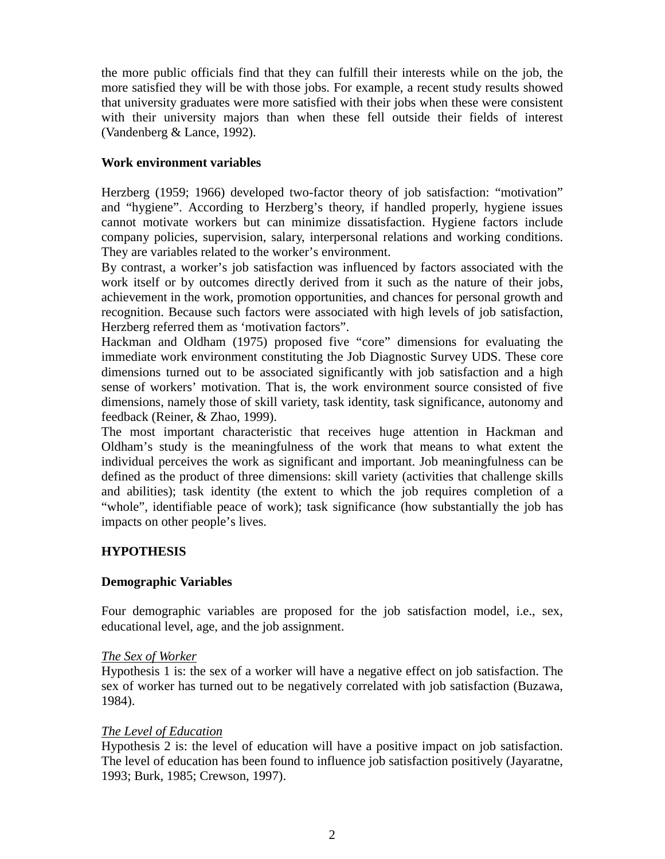the more public officials find that they can fulfill their interests while on the job, the more satisfied they will be with those jobs. For example, a recent study results showed that university graduates were more satisfied with their jobs when these were consistent with their university majors than when these fell outside their fields of interest (Vandenberg & Lance, 1992).

## **Work environment variables**

Herzberg (1959; 1966) developed two-factor theory of job satisfaction: "motivation" and "hygiene". According to Herzberg's theory, if handled properly, hygiene issues cannot motivate workers but can minimize dissatisfaction. Hygiene factors include company policies, supervision, salary, interpersonal relations and working conditions. They are variables related to the worker's environment.

By contrast, a worker's job satisfaction was influenced by factors associated with the work itself or by outcomes directly derived from it such as the nature of their jobs, achievement in the work, promotion opportunities, and chances for personal growth and recognition. Because such factors were associated with high levels of job satisfaction, Herzberg referred them as 'motivation factors".

Hackman and Oldham (1975) proposed five "core" dimensions for evaluating the immediate work environment constituting the Job Diagnostic Survey UDS. These core dimensions turned out to be associated significantly with job satisfaction and a high sense of workers' motivation. That is, the work environment source consisted of five dimensions, namely those of skill variety, task identity, task significance, autonomy and feedback (Reiner, & Zhao, 1999).

The most important characteristic that receives huge attention in Hackman and Oldham's study is the meaningfulness of the work that means to what extent the individual perceives the work as significant and important. Job meaningfulness can be defined as the product of three dimensions: skill variety (activities that challenge skills and abilities); task identity (the extent to which the job requires completion of a "whole", identifiable peace of work); task significance (how substantially the job has impacts on other people's lives.

## **HYPOTHESIS**

## **Demographic Variables**

Four demographic variables are proposed for the job satisfaction model, i.e., sex, educational level, age, and the job assignment.

## *The Sex of Worker*

Hypothesis 1 is: the sex of a worker will have a negative effect on job satisfaction. The sex of worker has turned out to be negatively correlated with job satisfaction (Buzawa, 1984).

## *The Level of Education*

Hypothesis 2 is: the level of education will have a positive impact on job satisfaction. The level of education has been found to influence job satisfaction positively (Jayaratne, 1993; Burk, 1985; Crewson, 1997).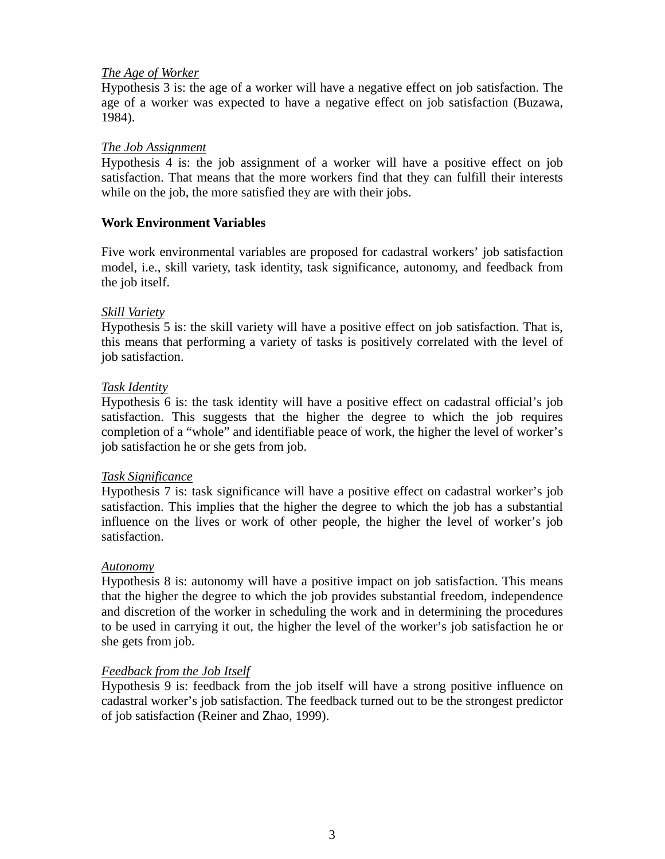## *The Age of Worker*

Hypothesis 3 is: the age of a worker will have a negative effect on job satisfaction. The age of a worker was expected to have a negative effect on job satisfaction (Buzawa, 1984).

## *The Job Assignment*

Hypothesis 4 is: the job assignment of a worker will have a positive effect on job satisfaction. That means that the more workers find that they can fulfill their interests while on the job, the more satisfied they are with their jobs.

## **Work Environment Variables**

Five work environmental variables are proposed for cadastral workers' job satisfaction model, i.e., skill variety, task identity, task significance, autonomy, and feedback from the job itself.

## *Skill Variety*

Hypothesis 5 is: the skill variety will have a positive effect on job satisfaction. That is, this means that performing a variety of tasks is positively correlated with the level of job satisfaction.

#### *Task Identity*

Hypothesis 6 is: the task identity will have a positive effect on cadastral official's job satisfaction. This suggests that the higher the degree to which the job requires completion of a "whole" and identifiable peace of work, the higher the level of worker's job satisfaction he or she gets from job.

## *Task Significance*

Hypothesis 7 is: task significance will have a positive effect on cadastral worker's job satisfaction. This implies that the higher the degree to which the job has a substantial influence on the lives or work of other people, the higher the level of worker's job satisfaction.

#### *Autonomy*

Hypothesis 8 is: autonomy will have a positive impact on job satisfaction. This means that the higher the degree to which the job provides substantial freedom, independence and discretion of the worker in scheduling the work and in determining the procedures to be used in carrying it out, the higher the level of the worker's job satisfaction he or she gets from job.

## *Feedback from the Job Itself*

Hypothesis 9 is: feedback from the job itself will have a strong positive influence on cadastral worker's job satisfaction. The feedback turned out to be the strongest predictor of job satisfaction (Reiner and Zhao, 1999).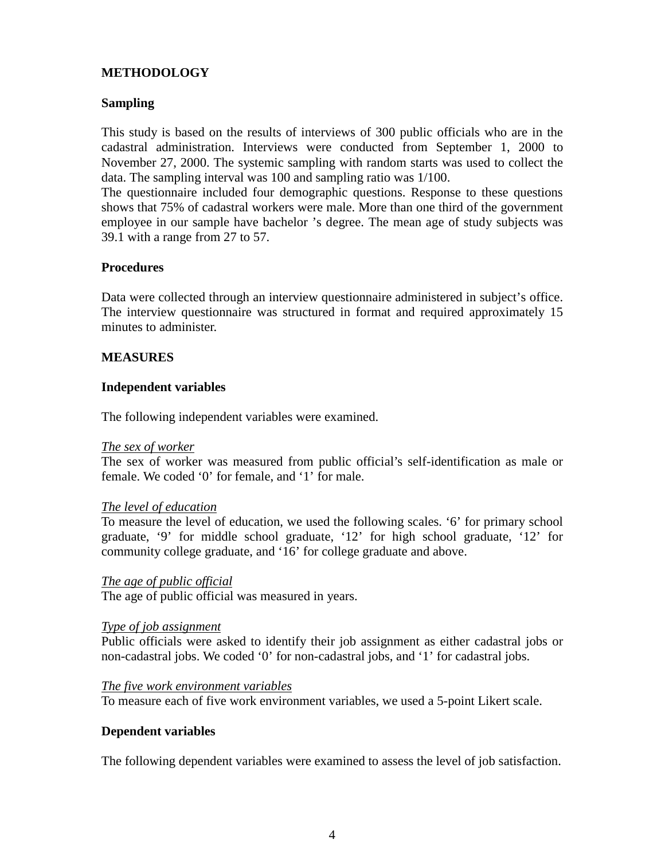## **METHODOLOGY**

## **Sampling**

This study is based on the results of interviews of 300 public officials who are in the cadastral administration. Interviews were conducted from September 1, 2000 to November 27, 2000. The systemic sampling with random starts was used to collect the data. The sampling interval was 100 and sampling ratio was 1/100.

The questionnaire included four demographic questions. Response to these questions shows that 75% of cadastral workers were male. More than one third of the government employee in our sample have bachelor 's degree. The mean age of study subjects was 39.1 with a range from 27 to 57.

## **Procedures**

Data were collected through an interview questionnaire administered in subject's office. The interview questionnaire was structured in format and required approximately 15 minutes to administer.

#### **MEASURES**

#### **Independent variables**

The following independent variables were examined.

#### *The sex of worker*

The sex of worker was measured from public official's self-identification as male or female. We coded '0' for female, and '1' for male.

#### *The level of education*

To measure the level of education, we used the following scales. '6' for primary school graduate, '9' for middle school graduate, '12' for high school graduate, '12' for community college graduate, and '16' for college graduate and above.

#### *The age of public official*

The age of public official was measured in years.

#### *Type of job assignment*

Public officials were asked to identify their job assignment as either cadastral jobs or non-cadastral jobs. We coded '0' for non-cadastral jobs, and '1' for cadastral jobs.

#### *The five work environment variables*

To measure each of five work environment variables, we used a 5-point Likert scale.

#### **Dependent variables**

The following dependent variables were examined to assess the level of job satisfaction.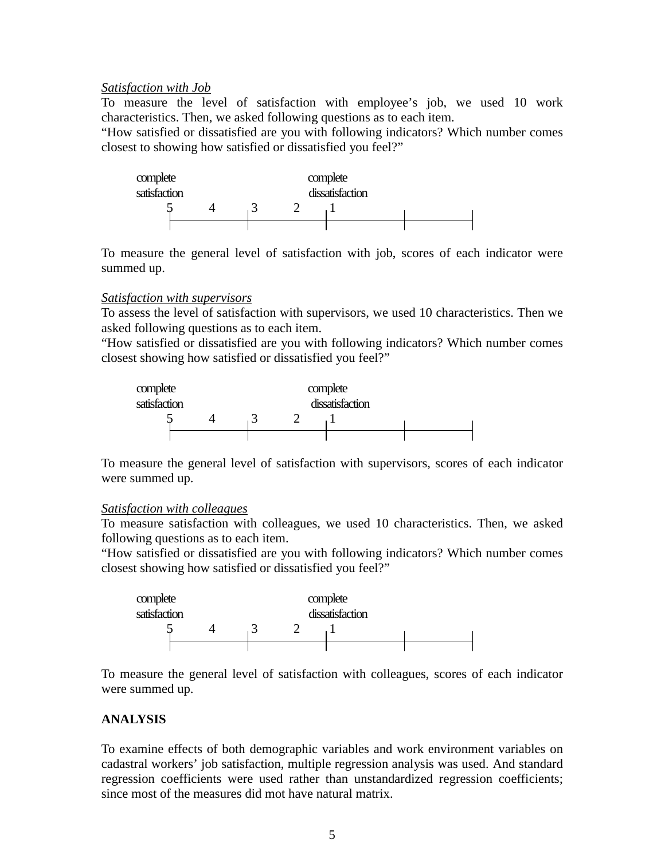## *Satisfaction with Job*

To measure the level of satisfaction with employee's job, we used 10 work characteristics. Then, we asked following questions as to each item.

"How satisfied or dissatisfied are you with following indicators? Which number comes closest to showing how satisfied or dissatisfied you feel?"



To measure the general level of satisfaction with job, scores of each indicator were summed up.

## *Satisfaction with supervisors*

To assess the level of satisfaction with supervisors, we used 10 characteristics. Then we asked following questions as to each item.

"How satisfied or dissatisfied are you with following indicators? Which number comes closest showing how satisfied or dissatisfied you feel?"



To measure the general level of satisfaction with supervisors, scores of each indicator were summed up.

## *Satisfaction with colleagues*

To measure satisfaction with colleagues, we used 10 characteristics. Then, we asked following questions as to each item.

"How satisfied or dissatisfied are you with following indicators? Which number comes closest showing how satisfied or dissatisfied you feel?"



To measure the general level of satisfaction with colleagues, scores of each indicator were summed up.

## **ANALYSIS**

To examine effects of both demographic variables and work environment variables on cadastral workers' job satisfaction, multiple regression analysis was used. And standard regression coefficients were used rather than unstandardized regression coefficients; since most of the measures did mot have natural matrix.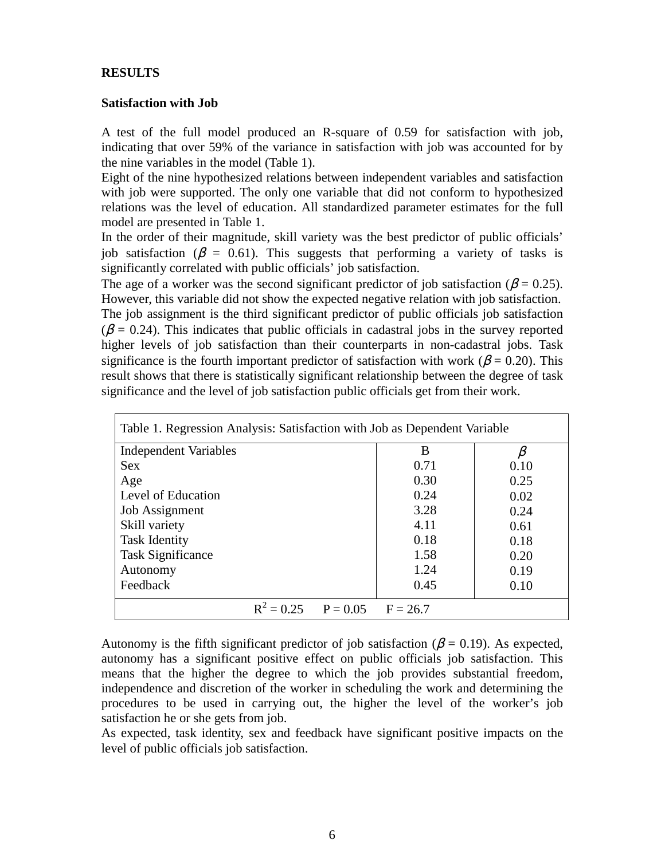#### **RESULTS**

#### **Satisfaction with Job**

A test of the full model produced an R-square of 0.59 for satisfaction with job, indicating that over 59% of the variance in satisfaction with job was accounted for by the nine variables in the model (Table 1).

Eight of the nine hypothesized relations between independent variables and satisfaction with job were supported. The only one variable that did not conform to hypothesized relations was the level of education. All standardized parameter estimates for the full model are presented in Table 1.

In the order of their magnitude, skill variety was the best predictor of public officials' job satisfaction ( $\beta = 0.61$ ). This suggests that performing a variety of tasks is significantly correlated with public officials' job satisfaction.

The age of a worker was the second significant predictor of job satisfaction ( $\beta$  = 0.25). However, this variable did not show the expected negative relation with job satisfaction. The job assignment is the third significant predictor of public officials job satisfaction  $(\beta = 0.24)$ . This indicates that public officials in cadastral jobs in the survey reported higher levels of job satisfaction than their counterparts in non-cadastral jobs. Task significance is the fourth important predictor of satisfaction with work ( $\beta$  = 0.20). This result shows that there is statistically significant relationship between the degree of task significance and the level of job satisfaction public officials get from their work.

| Table 1. Regression Analysis: Satisfaction with Job as Dependent Variable |                                    |  |      |      |  |  |
|---------------------------------------------------------------------------|------------------------------------|--|------|------|--|--|
| <b>Independent Variables</b>                                              |                                    |  | B    |      |  |  |
| <b>Sex</b>                                                                |                                    |  | 0.71 | 0.10 |  |  |
| Age                                                                       |                                    |  | 0.30 | 0.25 |  |  |
| Level of Education                                                        |                                    |  | 0.24 | 0.02 |  |  |
| <b>Job Assignment</b>                                                     |                                    |  | 3.28 | 0.24 |  |  |
| Skill variety                                                             |                                    |  | 4.11 | 0.61 |  |  |
| <b>Task Identity</b>                                                      |                                    |  | 0.18 | 0.18 |  |  |
| <b>Task Significance</b>                                                  |                                    |  | 1.58 | 0.20 |  |  |
| Autonomy                                                                  |                                    |  | 1.24 | 0.19 |  |  |
| Feedback                                                                  |                                    |  | 0.45 | 0.10 |  |  |
|                                                                           | $R^2 = 0.25$ $P = 0.05$ $F = 26.7$ |  |      |      |  |  |

Autonomy is the fifth significant predictor of job satisfaction ( $\beta$  = 0.19). As expected, autonomy has a significant positive effect on public officials job satisfaction. This means that the higher the degree to which the job provides substantial freedom, independence and discretion of the worker in scheduling the work and determining the procedures to be used in carrying out, the higher the level of the worker's job satisfaction he or she gets from job.

As expected, task identity, sex and feedback have significant positive impacts on the level of public officials job satisfaction.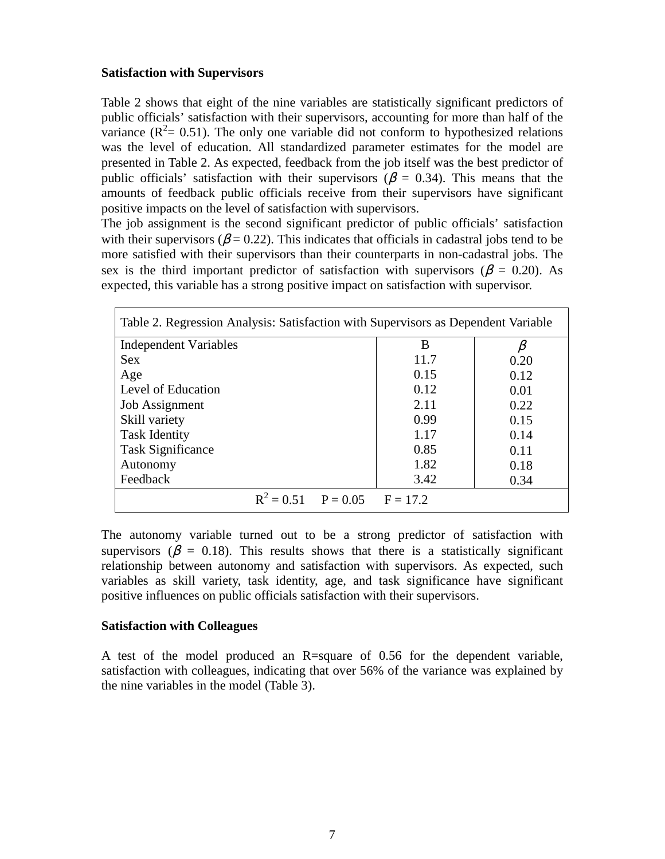#### **Satisfaction with Supervisors**

Table 2 shows that eight of the nine variables are statistically significant predictors of public officials' satisfaction with their supervisors, accounting for more than half of the variance  $(R^2 = 0.51)$ . The only one variable did not conform to hypothesized relations was the level of education. All standardized parameter estimates for the model are presented in Table 2. As expected, feedback from the job itself was the best predictor of public officials' satisfaction with their supervisors ( $\beta$  = 0.34). This means that the amounts of feedback public officials receive from their supervisors have significant positive impacts on the level of satisfaction with supervisors.

The job assignment is the second significant predictor of public officials' satisfaction with their supervisors ( $\beta$  = 0.22). This indicates that officials in cadastral jobs tend to be more satisfied with their supervisors than their counterparts in non-cadastral jobs. The sex is the third important predictor of satisfaction with supervisors ( $\beta$  = 0.20). As expected, this variable has a strong positive impact on satisfaction with supervisor.

| Table 2. Regression Analysis: Satisfaction with Supervisors as Dependent Variable |  |                                    |      |      |  |  |
|-----------------------------------------------------------------------------------|--|------------------------------------|------|------|--|--|
| <b>Independent Variables</b>                                                      |  |                                    | B    |      |  |  |
| <b>Sex</b>                                                                        |  |                                    | 11.7 | 0.20 |  |  |
| Age                                                                               |  |                                    | 0.15 | 0.12 |  |  |
| Level of Education                                                                |  |                                    | 0.12 | 0.01 |  |  |
| Job Assignment                                                                    |  |                                    | 2.11 | 0.22 |  |  |
| Skill variety                                                                     |  |                                    | 0.99 | 0.15 |  |  |
| <b>Task Identity</b>                                                              |  |                                    | 1.17 | 0.14 |  |  |
| <b>Task Significance</b>                                                          |  |                                    | 0.85 | 0.11 |  |  |
| Autonomy                                                                          |  |                                    | 1.82 | 0.18 |  |  |
| Feedback                                                                          |  |                                    | 3.42 | 0.34 |  |  |
|                                                                                   |  | $R^2 = 0.51$ $P = 0.05$ $F = 17.2$ |      |      |  |  |

The autonomy variable turned out to be a strong predictor of satisfaction with supervisors ( $\beta$  = 0.18). This results shows that there is a statistically significant relationship between autonomy and satisfaction with supervisors. As expected, such variables as skill variety, task identity, age, and task significance have significant positive influences on public officials satisfaction with their supervisors.

## **Satisfaction with Colleagues**

A test of the model produced an R=square of 0.56 for the dependent variable, satisfaction with colleagues, indicating that over 56% of the variance was explained by the nine variables in the model (Table 3).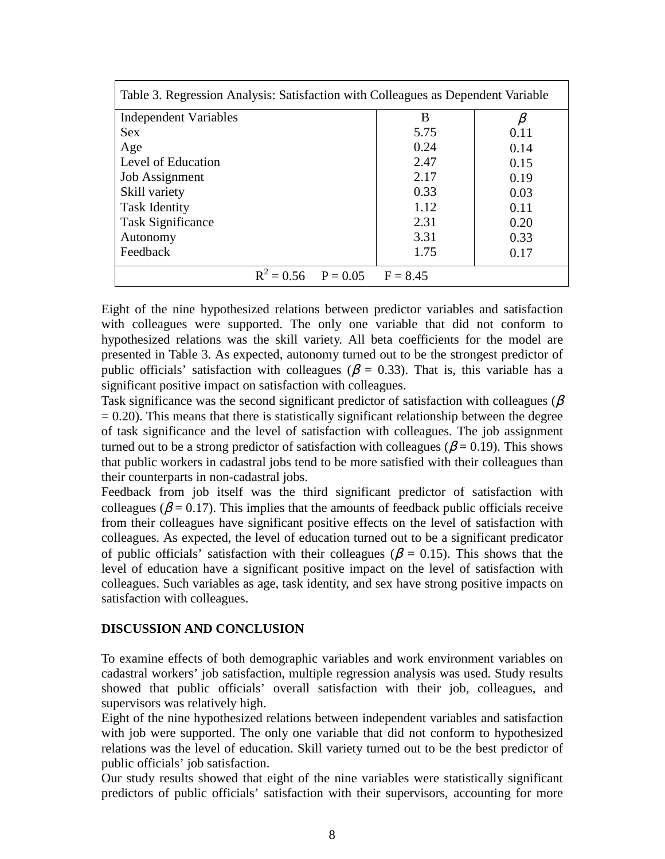| Table 3. Regression Analysis: Satisfaction with Colleagues as Dependent Variable |      |      |  |  |  |
|----------------------------------------------------------------------------------|------|------|--|--|--|
| <b>Independent Variables</b>                                                     | B    |      |  |  |  |
| <b>Sex</b>                                                                       | 5.75 | 0.11 |  |  |  |
| Age                                                                              | 0.24 | 0.14 |  |  |  |
| Level of Education                                                               | 2.47 | 0.15 |  |  |  |
| <b>Job Assignment</b>                                                            | 2.17 | 0.19 |  |  |  |
| Skill variety                                                                    | 0.33 | 0.03 |  |  |  |
| <b>Task Identity</b>                                                             | 1.12 | 0.11 |  |  |  |
| <b>Task Significance</b>                                                         | 2.31 | 0.20 |  |  |  |
| Autonomy                                                                         | 3.31 | 0.33 |  |  |  |
| Feedback                                                                         | 1.75 | 0.17 |  |  |  |
| $R^2 = 0.56$ $P = 0.05$ $F = 8.45$                                               |      |      |  |  |  |

Eight of the nine hypothesized relations between predictor variables and satisfaction with colleagues were supported. The only one variable that did not conform to hypothesized relations was the skill variety. All beta coefficients for the model are presented in Table 3. As expected, autonomy turned out to be the strongest predictor of public officials' satisfaction with colleagues ( $\beta = 0.33$ ). That is, this variable has a significant positive impact on satisfaction with colleagues.

Task significance was the second significant predictor of satisfaction with colleagues ( $\beta$ )  $= 0.20$ ). This means that there is statistically significant relationship between the degree of task significance and the level of satisfaction with colleagues. The job assignment turned out to be a strong predictor of satisfaction with colleagues ( $\beta$  = 0.19). This shows that public workers in cadastral jobs tend to be more satisfied with their colleagues than their counterparts in non-cadastral jobs.

Feedback from job itself was the third significant predictor of satisfaction with colleagues ( $\beta$  = 0.17). This implies that the amounts of feedback public officials receive from their colleagues have significant positive effects on the level of satisfaction with colleagues. As expected, the level of education turned out to be a significant predicator of public officials' satisfaction with their colleagues ( $\beta$  = 0.15). This shows that the level of education have a significant positive impact on the level of satisfaction with colleagues. Such variables as age, task identity, and sex have strong positive impacts on satisfaction with colleagues.

## **DISCUSSION AND CONCLUSION**

To examine effects of both demographic variables and work environment variables on cadastral workers' job satisfaction, multiple regression analysis was used. Study results showed that public officials' overall satisfaction with their job, colleagues, and supervisors was relatively high.

Eight of the nine hypothesized relations between independent variables and satisfaction with job were supported. The only one variable that did not conform to hypothesized relations was the level of education. Skill variety turned out to be the best predictor of public officials' job satisfaction.

Our study results showed that eight of the nine variables were statistically significant predictors of public officials' satisfaction with their supervisors, accounting for more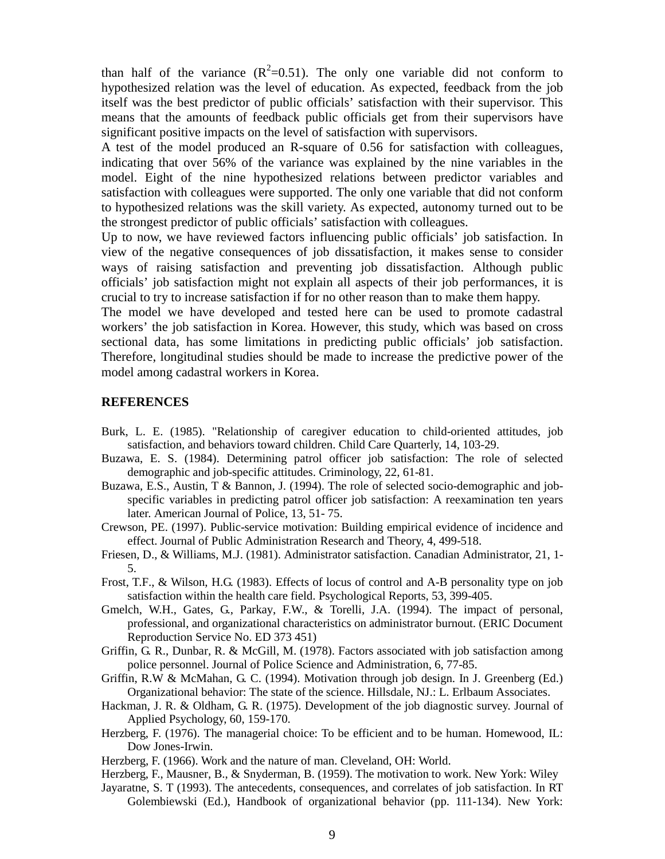than half of the variance  $(R^2=0.51)$ . The only one variable did not conform to hypothesized relation was the level of education. As expected, feedback from the job itself was the best predictor of public officials' satisfaction with their supervisor. This means that the amounts of feedback public officials get from their supervisors have significant positive impacts on the level of satisfaction with supervisors.

A test of the model produced an R-square of 0.56 for satisfaction with colleagues, indicating that over 56% of the variance was explained by the nine variables in the model. Eight of the nine hypothesized relations between predictor variables and satisfaction with colleagues were supported. The only one variable that did not conform to hypothesized relations was the skill variety. As expected, autonomy turned out to be the strongest predictor of public officials' satisfaction with colleagues.

Up to now, we have reviewed factors influencing public officials' job satisfaction. In view of the negative consequences of job dissatisfaction, it makes sense to consider ways of raising satisfaction and preventing job dissatisfaction. Although public officials' job satisfaction might not explain all aspects of their job performances, it is crucial to try to increase satisfaction if for no other reason than to make them happy.

The model we have developed and tested here can be used to promote cadastral workers' the job satisfaction in Korea. However, this study, which was based on cross sectional data, has some limitations in predicting public officials' job satisfaction. Therefore, longitudinal studies should be made to increase the predictive power of the model among cadastral workers in Korea.

#### **REFERENCES**

- Burk, L. E. (1985). "Relationship of caregiver education to child-oriented attitudes, job satisfaction, and behaviors toward children. Child Care Quarterly, 14, 103-29.
- Buzawa, E. S. (1984). Determining patrol officer job satisfaction: The role of selected demographic and job-specific attitudes. Criminology, 22, 61-81.
- Buzawa, E.S., Austin, T & Bannon, J. (1994). The role of selected socio-demographic and jobspecific variables in predicting patrol officer job satisfaction: A reexamination ten years later. American Journal of Police, 13, 51- 75.
- Crewson, PE. (1997). Public-service motivation: Building empirical evidence of incidence and effect. Journal of Public Administration Research and Theory, 4, 499-518.
- Friesen, D., & Williams, M.J. (1981). Administrator satisfaction. Canadian Administrator, 21, 1- 5.
- Frost, T.F., & Wilson, H.G. (1983). Effects of locus of control and A-B personality type on job satisfaction within the health care field. Psychological Reports, 53, 399-405.
- Gmelch, W.H., Gates, G., Parkay, F.W., & Torelli, J.A. (1994). The impact of personal, professional, and organizational characteristics on administrator burnout. (ERIC Document Reproduction Service No. ED 373 451)
- Griffin, G. R., Dunbar, R. & McGill, M. (1978). Factors associated with job satisfaction among police personnel. Journal of Police Science and Administration, 6, 77-85.
- Griffin, R.W & McMahan, G. C. (1994). Motivation through job design. In J. Greenberg (Ed.) Organizational behavior: The state of the science. Hillsdale, NJ.: L. Erlbaum Associates.
- Hackman, J. R. & Oldham, G. R. (1975). Development of the job diagnostic survey. Journal of Applied Psychology, 60, 159-170.
- Herzberg, F. (1976). The managerial choice: To be efficient and to be human. Homewood, IL: Dow Jones-Irwin.
- Herzberg, F. (1966). Work and the nature of man. Cleveland, OH: World.
- Herzberg, F., Mausner, B., & Snyderman, B. (1959). The motivation to work. New York: Wiley
- Jayaratne, S. T (1993). The antecedents, consequences, and correlates of job satisfaction. In RT Golembiewski (Ed.), Handbook of organizational behavior (pp. 111-134). New York: